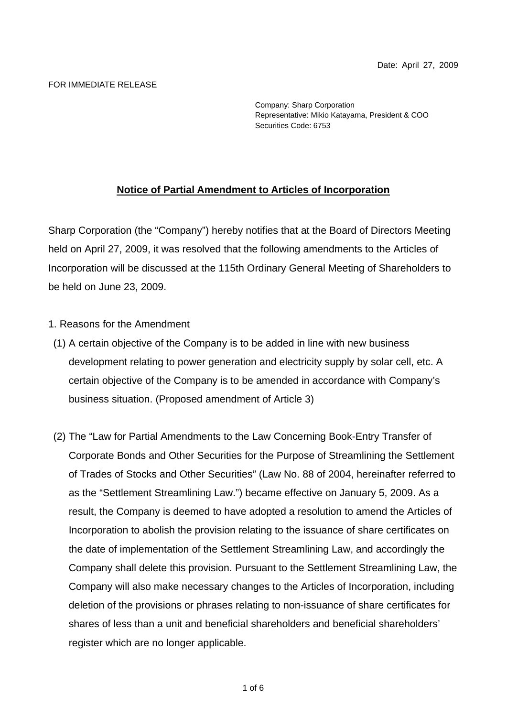## FOR IMMEDIATE RELEASE

Company: Sharp Corporation Representative: Mikio Katayama, President & COO Securities Code: 6753

## **Notice of Partial Amendment to Articles of Incorporation**

Sharp Corporation (the "Company") hereby notifies that at the Board of Directors Meeting held on April 27, 2009, it was resolved that the following amendments to the Articles of Incorporation will be discussed at the 115th Ordinary General Meeting of Shareholders to be held on June 23, 2009.

## 1. Reasons for the Amendment

- (1) A certain objective of the Company is to be added in line with new business development relating to power generation and electricity supply by solar cell, etc. A certain objective of the Company is to be amended in accordance with Company's business situation. (Proposed amendment of Article 3)
- (2) The "Law for Partial Amendments to the Law Concerning Book-Entry Transfer of Corporate Bonds and Other Securities for the Purpose of Streamlining the Settlement of Trades of Stocks and Other Securities" (Law No. 88 of 2004, hereinafter referred to as the "Settlement Streamlining Law.") became effective on January 5, 2009. As a result, the Company is deemed to have adopted a resolution to amend the Articles of Incorporation to abolish the provision relating to the issuance of share certificates on the date of implementation of the Settlement Streamlining Law, and accordingly the Company shall delete this provision. Pursuant to the Settlement Streamlining Law, the Company will also make necessary changes to the Articles of Incorporation, including deletion of the provisions or phrases relating to non-issuance of share certificates for shares of less than a unit and beneficial shareholders and beneficial shareholders' register which are no longer applicable.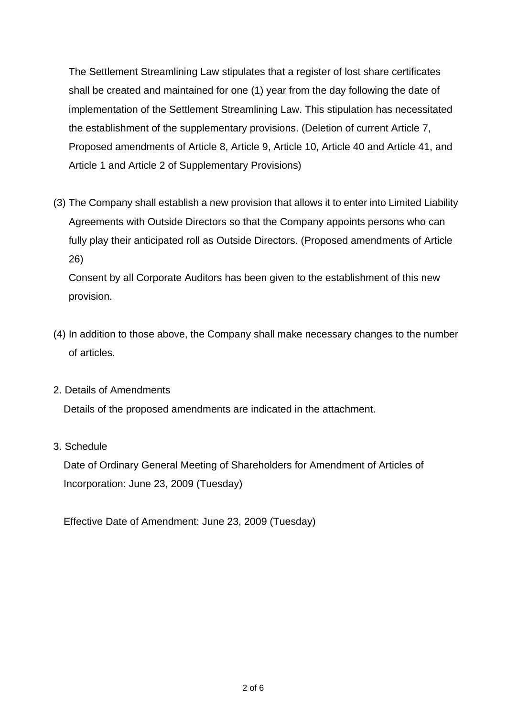The Settlement Streamlining Law stipulates that a register of lost share certificates shall be created and maintained for one (1) year from the day following the date of implementation of the Settlement Streamlining Law. This stipulation has necessitated the establishment of the supplementary provisions. (Deletion of current Article 7, Proposed amendments of Article 8, Article 9, Article 10, Article 40 and Article 41, and Article 1 and Article 2 of Supplementary Provisions)

(3) The Company shall establish a new provision that allows it to enter into Limited Liability Agreements with Outside Directors so that the Company appoints persons who can fully play their anticipated roll as Outside Directors. (Proposed amendments of Article 26)

Consent by all Corporate Auditors has been given to the establishment of this new provision.

- (4) In addition to those above, the Company shall make necessary changes to the number of articles.
- 2. Details of Amendments

Details of the proposed amendments are indicated in the attachment.

3. Schedule

 Date of Ordinary General Meeting of Shareholders for Amendment of Articles of Incorporation: June 23, 2009 (Tuesday)

Effective Date of Amendment: June 23, 2009 (Tuesday)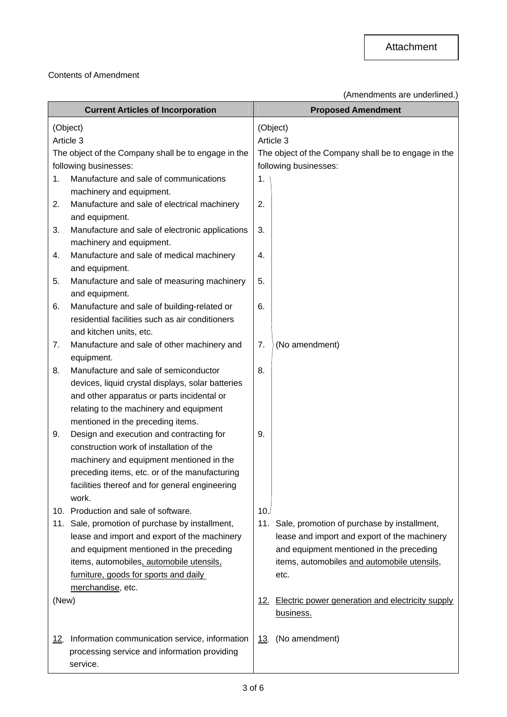## Contents of Amendment

(Amendments are underlined.)

|                                                     | <b>Current Articles of Incorporation</b>                      |                                                     | <b>Proposed Amendment</b>                                         |  |
|-----------------------------------------------------|---------------------------------------------------------------|-----------------------------------------------------|-------------------------------------------------------------------|--|
| (Object)                                            |                                                               |                                                     | (Object)                                                          |  |
| Article 3                                           |                                                               |                                                     | Article 3                                                         |  |
| The object of the Company shall be to engage in the |                                                               | The object of the Company shall be to engage in the |                                                                   |  |
| following businesses:                               |                                                               | following businesses:                               |                                                                   |  |
| 1.                                                  | Manufacture and sale of communications                        | 1.                                                  |                                                                   |  |
|                                                     | machinery and equipment.                                      |                                                     |                                                                   |  |
| 2.                                                  | Manufacture and sale of electrical machinery                  | 2.                                                  |                                                                   |  |
|                                                     | and equipment.                                                |                                                     |                                                                   |  |
| 3.                                                  | Manufacture and sale of electronic applications               | 3.                                                  |                                                                   |  |
|                                                     | machinery and equipment.                                      |                                                     |                                                                   |  |
| 4.                                                  | Manufacture and sale of medical machinery<br>and equipment.   | 4.                                                  |                                                                   |  |
| 5.                                                  | Manufacture and sale of measuring machinery<br>and equipment. | 5.                                                  |                                                                   |  |
| 6.                                                  | Manufacture and sale of building-related or                   | 6.                                                  |                                                                   |  |
|                                                     | residential facilities such as air conditioners               |                                                     |                                                                   |  |
|                                                     | and kitchen units, etc.                                       |                                                     |                                                                   |  |
| 7.                                                  | Manufacture and sale of other machinery and<br>equipment.     | 7.                                                  | (No amendment)                                                    |  |
| 8.                                                  | Manufacture and sale of semiconductor                         | 8.                                                  |                                                                   |  |
|                                                     | devices, liquid crystal displays, solar batteries             |                                                     |                                                                   |  |
|                                                     | and other apparatus or parts incidental or                    |                                                     |                                                                   |  |
|                                                     | relating to the machinery and equipment                       |                                                     |                                                                   |  |
|                                                     | mentioned in the preceding items.                             |                                                     |                                                                   |  |
| 9.                                                  | Design and execution and contracting for                      | 9.                                                  |                                                                   |  |
|                                                     | construction work of installation of the                      |                                                     |                                                                   |  |
|                                                     | machinery and equipment mentioned in the                      |                                                     |                                                                   |  |
|                                                     | preceding items, etc. or of the manufacturing                 |                                                     |                                                                   |  |
|                                                     | facilities thereof and for general engineering                |                                                     |                                                                   |  |
|                                                     | work.                                                         |                                                     |                                                                   |  |
|                                                     | 10. Production and sale of software.                          | 10.                                                 |                                                                   |  |
|                                                     | 11. Sale, promotion of purchase by installment,               |                                                     | 11. Sale, promotion of purchase by installment,                   |  |
|                                                     | lease and import and export of the machinery                  |                                                     | lease and import and export of the machinery                      |  |
|                                                     | and equipment mentioned in the preceding                      |                                                     | and equipment mentioned in the preceding                          |  |
|                                                     | items, automobiles, automobile utensils,                      |                                                     | items, automobiles and automobile utensils,                       |  |
|                                                     | furniture, goods for sports and daily                         |                                                     | etc.                                                              |  |
| merchandise, etc.                                   |                                                               |                                                     |                                                                   |  |
| (New)                                               |                                                               |                                                     | 12. Electric power generation and electricity supply<br>business. |  |
| <u>12.</u>                                          | Information communication service, information                | 13.                                                 | (No amendment)                                                    |  |
|                                                     | processing service and information providing                  |                                                     |                                                                   |  |
|                                                     | service.                                                      |                                                     |                                                                   |  |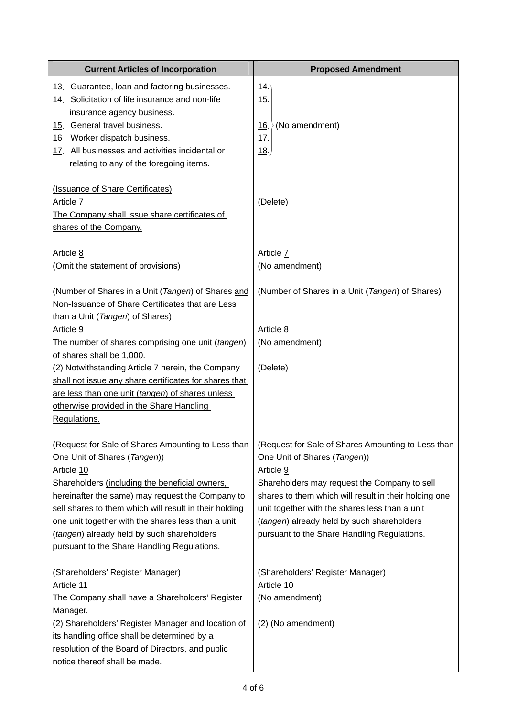| <b>Current Articles of Incorporation</b>                                                                                                                                                                                                                                                                        | <b>Proposed Amendment</b>                                                                                                                                                                                                                            |  |
|-----------------------------------------------------------------------------------------------------------------------------------------------------------------------------------------------------------------------------------------------------------------------------------------------------------------|------------------------------------------------------------------------------------------------------------------------------------------------------------------------------------------------------------------------------------------------------|--|
| 13. Guarantee, loan and factoring businesses.<br>14. Solicitation of life insurance and non-life<br>insurance agency business.                                                                                                                                                                                  | <u>14</u><br>15.                                                                                                                                                                                                                                     |  |
| General travel business.<br><u>15.</u><br>16. Worker dispatch business.<br>17. All businesses and activities incidental or<br>relating to any of the foregoing items.                                                                                                                                           | (No amendment)<br><u>16.</u><br><u>17.</u><br>18.                                                                                                                                                                                                    |  |
| (Issuance of Share Certificates)<br>Article 7<br>The Company shall issue share certificates of<br>shares of the Company.                                                                                                                                                                                        | (Delete)                                                                                                                                                                                                                                             |  |
| Article 8<br>(Omit the statement of provisions)                                                                                                                                                                                                                                                                 | Article 7<br>(No amendment)                                                                                                                                                                                                                          |  |
| (Number of Shares in a Unit (Tangen) of Shares and<br>Non-Issuance of Share Certificates that are Less<br>than a Unit (Tangen) of Shares)                                                                                                                                                                       | (Number of Shares in a Unit (Tangen) of Shares)                                                                                                                                                                                                      |  |
| Article 9                                                                                                                                                                                                                                                                                                       | Article 8                                                                                                                                                                                                                                            |  |
| The number of shares comprising one unit (tangen)<br>of shares shall be 1,000.                                                                                                                                                                                                                                  | (No amendment)                                                                                                                                                                                                                                       |  |
| (2) Notwithstanding Article 7 herein, the Company<br>shall not issue any share certificates for shares that<br>are less than one unit (tangen) of shares unless<br>otherwise provided in the Share Handling<br>Regulations.                                                                                     | (Delete)                                                                                                                                                                                                                                             |  |
| (Request for Sale of Shares Amounting to Less than<br>One Unit of Shares (Tangen))<br>Article 10                                                                                                                                                                                                                | (Request for Sale of Shares Amounting to Less than<br>One Unit of Shares (Tangen))<br>Article 9                                                                                                                                                      |  |
| Shareholders (including the beneficial owners,<br>hereinafter the same) may request the Company to<br>sell shares to them which will result in their holding<br>one unit together with the shares less than a unit<br>(tangen) already held by such shareholders<br>pursuant to the Share Handling Regulations. | Shareholders may request the Company to sell<br>shares to them which will result in their holding one<br>unit together with the shares less than a unit<br>(tangen) already held by such shareholders<br>pursuant to the Share Handling Regulations. |  |
| (Shareholders' Register Manager)<br>Article 11                                                                                                                                                                                                                                                                  | (Shareholders' Register Manager)<br>Article 10                                                                                                                                                                                                       |  |
| The Company shall have a Shareholders' Register<br>Manager.                                                                                                                                                                                                                                                     | (No amendment)                                                                                                                                                                                                                                       |  |
| (2) Shareholders' Register Manager and location of<br>its handling office shall be determined by a<br>resolution of the Board of Directors, and public<br>notice thereof shall be made.                                                                                                                         | (2) (No amendment)                                                                                                                                                                                                                                   |  |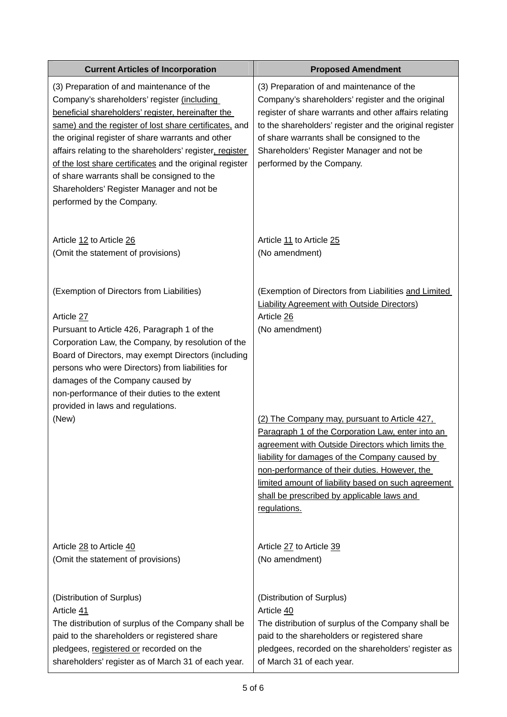| <b>Current Articles of Incorporation</b>                                                                                                                                                                                                                                                                                                                                                                                                                                                                       | <b>Proposed Amendment</b>                                                                                                                                                                                                                                                                                                                                                                                                                                                                                                     |
|----------------------------------------------------------------------------------------------------------------------------------------------------------------------------------------------------------------------------------------------------------------------------------------------------------------------------------------------------------------------------------------------------------------------------------------------------------------------------------------------------------------|-------------------------------------------------------------------------------------------------------------------------------------------------------------------------------------------------------------------------------------------------------------------------------------------------------------------------------------------------------------------------------------------------------------------------------------------------------------------------------------------------------------------------------|
| (3) Preparation of and maintenance of the<br>Company's shareholders' register (including<br>beneficial shareholders' register, hereinafter the<br>same) and the register of lost share certificates, and<br>the original register of share warrants and other<br>affairs relating to the shareholders' register, register<br>of the lost share certificates and the original register<br>of share warrants shall be consigned to the<br>Shareholders' Register Manager and not be<br>performed by the Company. | (3) Preparation of and maintenance of the<br>Company's shareholders' register and the original<br>register of share warrants and other affairs relating<br>to the shareholders' register and the original register<br>of share warrants shall be consigned to the<br>Shareholders' Register Manager and not be<br>performed by the Company.                                                                                                                                                                                   |
| Article 12 to Article 26                                                                                                                                                                                                                                                                                                                                                                                                                                                                                       | Article 11 to Article 25                                                                                                                                                                                                                                                                                                                                                                                                                                                                                                      |
| (Omit the statement of provisions)                                                                                                                                                                                                                                                                                                                                                                                                                                                                             | (No amendment)                                                                                                                                                                                                                                                                                                                                                                                                                                                                                                                |
| (Exemption of Directors from Liabilities)<br>Article 27<br>Pursuant to Article 426, Paragraph 1 of the<br>Corporation Law, the Company, by resolution of the<br>Board of Directors, may exempt Directors (including<br>persons who were Directors) from liabilities for<br>damages of the Company caused by<br>non-performance of their duties to the extent<br>provided in laws and regulations.<br>(New)                                                                                                     | (Exemption of Directors from Liabilities and Limited<br><b>Liability Agreement with Outside Directors)</b><br>Article 26<br>(No amendment)<br>(2) The Company may, pursuant to Article 427,<br>Paragraph 1 of the Corporation Law, enter into an<br>agreement with Outside Directors which limits the<br>liability for damages of the Company caused by<br>non-performance of their duties. However, the<br>limited amount of liability based on such agreement<br>shall be prescribed by applicable laws and<br>regulations. |
| Article 28 to Article 40                                                                                                                                                                                                                                                                                                                                                                                                                                                                                       | Article 27 to Article 39                                                                                                                                                                                                                                                                                                                                                                                                                                                                                                      |
| (Omit the statement of provisions)                                                                                                                                                                                                                                                                                                                                                                                                                                                                             | (No amendment)                                                                                                                                                                                                                                                                                                                                                                                                                                                                                                                |
| (Distribution of Surplus)                                                                                                                                                                                                                                                                                                                                                                                                                                                                                      | (Distribution of Surplus)                                                                                                                                                                                                                                                                                                                                                                                                                                                                                                     |
| Article 41                                                                                                                                                                                                                                                                                                                                                                                                                                                                                                     | Article 40                                                                                                                                                                                                                                                                                                                                                                                                                                                                                                                    |
| The distribution of surplus of the Company shall be                                                                                                                                                                                                                                                                                                                                                                                                                                                            | The distribution of surplus of the Company shall be                                                                                                                                                                                                                                                                                                                                                                                                                                                                           |
| paid to the shareholders or registered share                                                                                                                                                                                                                                                                                                                                                                                                                                                                   | paid to the shareholders or registered share                                                                                                                                                                                                                                                                                                                                                                                                                                                                                  |
| pledgees, registered or recorded on the                                                                                                                                                                                                                                                                                                                                                                                                                                                                        | pledgees, recorded on the shareholders' register as                                                                                                                                                                                                                                                                                                                                                                                                                                                                           |
| shareholders' register as of March 31 of each year.                                                                                                                                                                                                                                                                                                                                                                                                                                                            | of March 31 of each year.                                                                                                                                                                                                                                                                                                                                                                                                                                                                                                     |